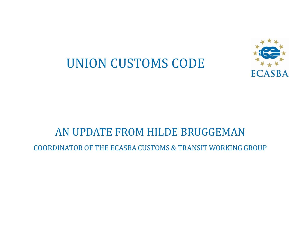# UNION CUSTOMS CODE



#### AN UPDATE FROM HILDE BRUGGEMAN

COORDINATOR OF THE ECASBA CUSTOMS & TRANSIT WORKING GROUP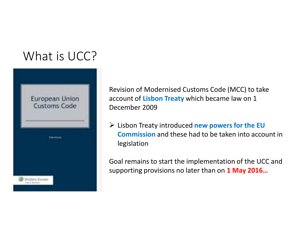### What is UCC?



Revision of Modernised Customs Code (MCC) to take account of **Lisbon Treaty** which became law on 1 December 2009

 Lisbon Treaty introduced **new powers for the EU Commission** and these had to be taken into account in legislation

Goal remains to start the implementation of the UCC and supporting provisions no later than on **1 May 2016…**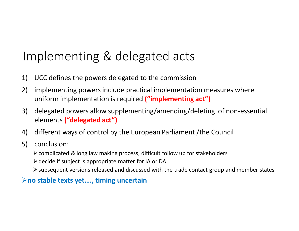## Implementing & delegated acts

- 1) UCC defines the powers delegated to the commission
- 2) implementing powers include practical implementation measures where uniform implementation is required **("implementing act")**
- 3) delegated powers allow supplementing/amending/deleting of non-essential elements **("delegated act")**
- 4) different ways of control by the European Parliament /the Council
- 5) conclusion:
	- $\geq$  complicated & long law making process, difficult follow up for stakeholders
	- $\triangleright$  decide if subject is appropriate matter for IA or DA
	- subsequent versions released and discussed with the trade contact group and member states

#### **no stable texts yet…., timing uncertain**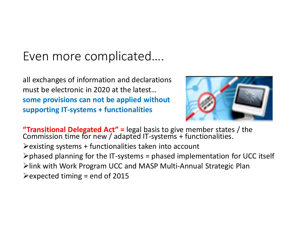### Even more complicated….

all exchanges of information and declarations must be electronic in 2020 at the latest… **some provisions can not be applied without supporting IT-systems + functionalities**



**"Transitional Delegated Act" =** legal basis to give member states / the Commission time for new / adapted IT-systems + functionalities.  $\triangleright$  existing systems + functionalities taken into account  $\triangleright$  phased planning for the IT-systems = phased implementation for UCC itself link with Work Program UCC and MASP Multi-Annual Strategic Plan  $\blacktriangleright$  expected timing = end of 2015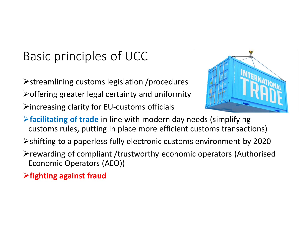# Basic principles of UCC

- $\triangleright$  streamlining customs legislation /procedures
- $\triangleright$  offering greater legal certainty and uniformity
- $\triangleright$  increasing clarity for EU-customs officials



- **facilitating of trade** in line with modern day needs (simplifying customs rules, putting in place more efficient customs transactions)
- shifting to a paperless fully electronic customs environment by 2020
- $\triangleright$  rewarding of compliant /trustworthy economic operators (Authorised Economic Operators (AEO))
- **fighting against fraud**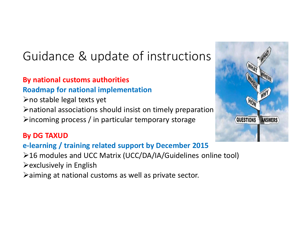# Guidance & update of instructions

#### **By national customs authorities Roadmap for national implementation**

 $\triangleright$  no stable legal texts yet national associations should insist on timely preparation  $\triangleright$  incoming process / in particular temporary storage

#### **By DG TAXUD**

#### **e-learning / training related support by December 2015**

- 16 modules and UCC Matrix (UCC/DA/IA/Guidelines online tool)
- $\triangleright$  exclusively in English
- aiming at national customs as well as private sector.

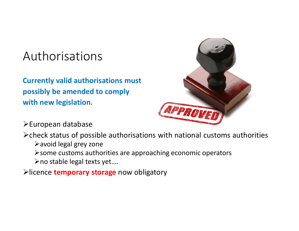### Authorisations

**Currently valid authorisations must possibly be amended to comply with new legislation.** 



European database

 $\triangleright$  check status of possible authorisations with national customs authorities avoid legal grey zone

 $\triangleright$  some customs authorities are approaching economic operators

no stable legal texts yet….

licence **temporary storage** now obligatory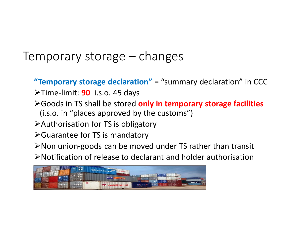#### Temporary storage – changes

**"Temporary storage declaration"** = "summary declaration" in CCC

- Time-limit: **90** i.s.o. 45 days
- Goods in TS shall be stored **only in temporary storage facilities**
	- (i.s.o. in "places approved by the customs")
- Authorisation for TS is obligatory
- Guarantee for TS is mandatory

 $\triangleright$  Non union-goods can be moved under TS rather than transit

Notification of release to declarant and holder authorisation

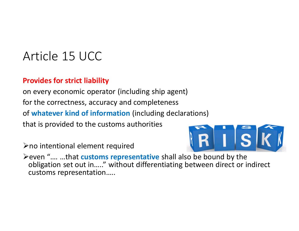### Article 15 UCC

#### **Provides for strict liability**

on every economic operator (including ship agent) for the correctness, accuracy and completeness of **whatever kind of information** (including declarations) that is provided to the customs authorities

 $\triangleright$  no intentional element required



even "…. …that **customs representative** shall also be bound by the obligation set out in….." without differentiating between direct or indirect customs representation…..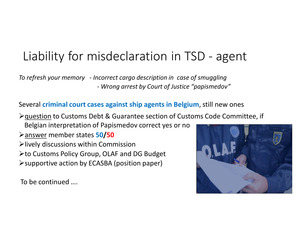# Liability for misdeclaration in TSD - agent

*To refresh your memory - Incorrect cargo description in case of smuggling - Wrong arrest by Court of Justice "papismedov"*

Several **criminal court cases against ship agents in Belgium**, still new ones

question to Customs Debt & Guarantee section of Customs Code Committee, if

Belgian interpretation of Papismedov correct yes or no

answer member states **50/50**

- $\blacktriangleright$  lively discussions within Commission
- **≻to Customs Policy Group, OLAF and DG Budget**
- supportive action by ECASBA (position paper)

To be continued ….

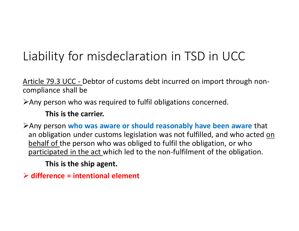# Liability for misdeclaration in TSD in UCC

Article 79.3 UCC - Debtor of customs debt incurred on import through noncompliance shall be

Any person who was required to fulfil obligations concerned.

#### **This is the carrier.**

Any person **who was aware or should reasonably have been aware** that an obligation under customs legislation was not fulfilled, and who acted on behalf of the person who was obliged to fulfil the obligation, or who participated in the act which led to the non-fulfilment of the obligation.

**This is the ship agent.** 

**difference = intentional element**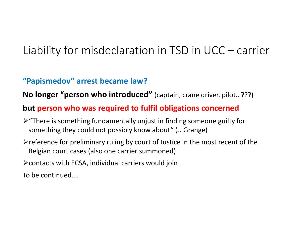#### Liability for misdeclaration in TSD in UCC – carrier

#### **"Papismedov" arrest became law?**

**No longer "person who introduced"** (captain, crane driver, pilot…???)

#### **but person who was required to fulfil obligations concerned**

- $\triangleright$  "There is something fundamentally unjust in finding someone guilty for something they could not possibly know about" (J. Grange)
- $\triangleright$  reference for preliminary ruling by court of Justice in the most recent of the Belgian court cases (also one carrier summoned)
- $\triangleright$  contacts with ECSA, individual carriers would join

To be continued….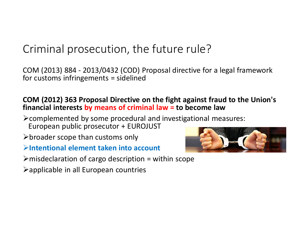#### Criminal prosecution, the future rule?

COM (2013) 884 - 2013/0432 (COD) Proposal directive for a legal framework for customs infringements = sidelined

#### **COM (2012) 363 Proposal Directive on the fight against fraud to the Union's financial interests by means of criminal law = to become law**

- complemented by some procedural and investigational measures: European public prosecutor + EUROJUST
- $\triangleright$  broader scope than customs only
- **Intentional element taken into account**
- $\triangleright$  misdeclaration of cargo description = within scope
- $\triangleright$  applicable in all European countries